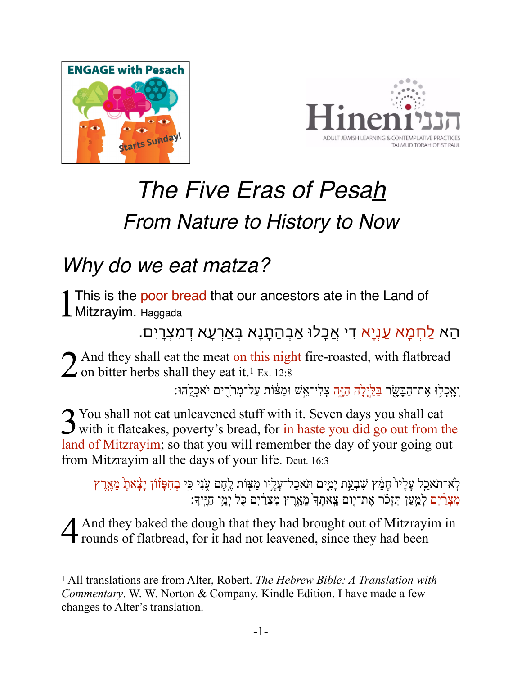



# *The Five Eras of Pesah From Nature to History to Now*

### *Why do we eat matza?*

1This is the poor bread that our ancestors ate in the Land of Mitzrayim. Haggada

ּהָא <u>לַחְמָא עַנְיָ</u>א די אֲכָלוּ אַבִהָתָנָא בָּאַרְעָא דִמִצְרַיִם.

 $2$  And they shall eat the meat on this night fire-roasted, with flatbread on bitter herbs shall they eat it.<sup>[1](#page-0-0)</sup> Ex. 12:8

<span id="page-0-1"></span>וְאָכְלִוּ אֶת־הַבָּשָׂר <u>בַּלִּיְלָה הָזֶה צְלִי־א</u>ֵֽשׁ וּמַצּׁוֹת עַל־מְרֹרִים יֹאכְלֻהוּ:

3 You shall not eat unleavened stuff with it. Seven days you shall eat with it flatcakes, poverty's bread, for in haste you did go out from the land of Mitzrayim; so that you will remember the day of your going out from Mitzrayim all the days of your life. Deut. 16:3

לְא־תֹאַכַל עָלָיו ֹחָמֵ֫ץ שִׁבְעַת יָמִים תִּאכַל־עָלָיו מַצִּוֹת לֶחֶם עָנִי כִּי בְחִפָּוֹוֹן יָצָ֫אתָ מֵאֶרֶץ ...<br>מִצְרַ֫יִם לְמַעֲן תִּזְכֹּר אֶת־יִוֹם ִצֵאתִךְ מֵאֲרֵץ מִצְרַיִם כֹּל יָמֵי תִיּּיִדְּ

4 And they baked the dough that they had brought out of Mitzrayim in rounds of flatbread, for it had not leavened, since they had been

<span id="page-0-0"></span>All translations are from Alter, Robert. *The Hebrew Bible: A Translation with* [1](#page-0-1) *Commentary*. W. W. Norton & Company. Kindle Edition. I have made a few changes to Alter's translation.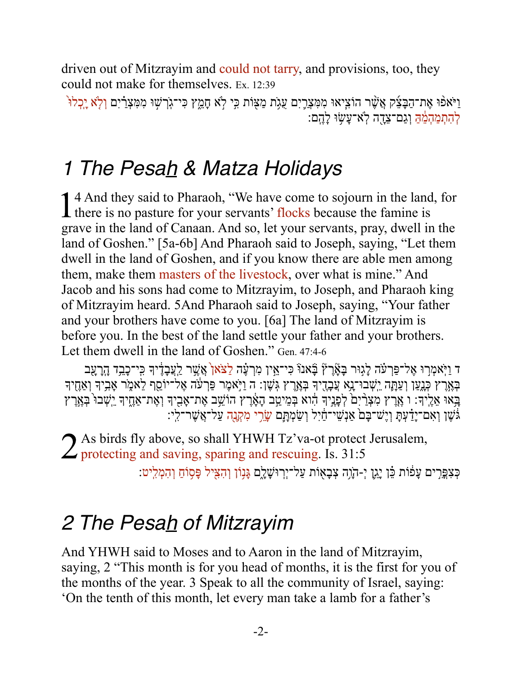driven out of Mitzrayim and could not tarry, and provisions, too, they could not make for themselves. Ex. 12:39

וַיֹּאפֿוּ אֵת־הַבָּצֵק אֲשֶׁר הוֹצִיאוּ מִמִּצְרֶיִם עֻגָּת מַצָּוֹת כִּי לְא חָמֵץ כִּי־גְרְשִׁוּ מִמִּצְרַ֫יִם וְלְא יֶכְלוּ להתמהמה וגם־צדה לא־עשוּ להם:

### 1 The Pesah & Matza Holidays

14 And they said to Pharaoh, "We have come to sojourn in the land, for I there is no pasture for your servants' flocks because the famine is grave in the land of Canaan. And so, let your servants, pray, dwell in the land of Goshen." [5a-6b] And Pharaoh said to Joseph, saying, "Let them dwell in the land of Goshen, and if you know there are able men among them, make them masters of the livestock, over what is mine." And Jacob and his sons had come to Mitzrayim, to Joseph, and Pharaoh king of Mitzrayim heard. 5And Pharaoh said to Joseph, saying, "Your father and your brothers have come to you. [6a] The land of Mitzrayim is before you. In the best of the land settle your father and your brothers. Let them dwell in the land of Goshen." Gen. 47:4-6

ד וַיְאמְרַוּ אֶל־פַּרְעֹׂה לָגָוּר בָּאָٚרֶץٞ בָּאנוֹ כִּי־אֵין מִרְעָׂה לַצֹּאן<sup>י</sup> אֲשֶׁר לַעֲבָדֶיךָ כִּי־כָבִד הָרָעָב בְאָרֶץ כְּגָעַן וְעַתָּה יִשְׁבוּ־נָא עֲבָדֶיךָ בְאָרֶץ גְּשֶׁן: ה וַיָּאמֶר פַּרְעֹׂה אֶלֹ־יוֹסֵף לֵאמֶר אָבְיךָ וְאַחֵיךָ בְּאוּ אֵלֶיךָ: ו אֱרֶץ מִצְרַיִם לְפָנֶיךָ הוא בְּמֵיטַב הָאָרֶץ הוֹשֵׁב אֶת־אָבִיךְ וְאֶת־אַחֶיךָ יִשְׁבוּ בְּאֶרֶץ גֹּשֶׁן וְאִם־יָדַ֫עְתָּ וְיֶשׁ־כָּם אַנְשִׁי־חַ֫יִל וְשַׂמְתָּם שָׂרֵי מִקְנֶה עַל־אֲשֶׁר־לִי:

2 As birds fly above, so shall YHWH Tz'va-ot protect Jerusalem,<br>2 protecting and saving, sparing and rescuing. Is. 31:5

ְּכְצִפְּרִים עָפֿוֹת כֵּ֫ן יָגֵן יְ-הָוָה צְבָאָוֹת עַל־יְרְוּשָׁלֶם גָּנְוֹן וְהָצִיל פָּסְוֹחַ וְהִמְלִיט:

### 2 The Pesah of Mitzrayim

And YHWH said to Moses and to Aaron in the land of Mitzrayim, saying, 2 "This month is for you head of months, it is the first for you of the months of the year. 3 Speak to all the community of Israel, saying: 'On the tenth of this month, let every man take a lamb for a father's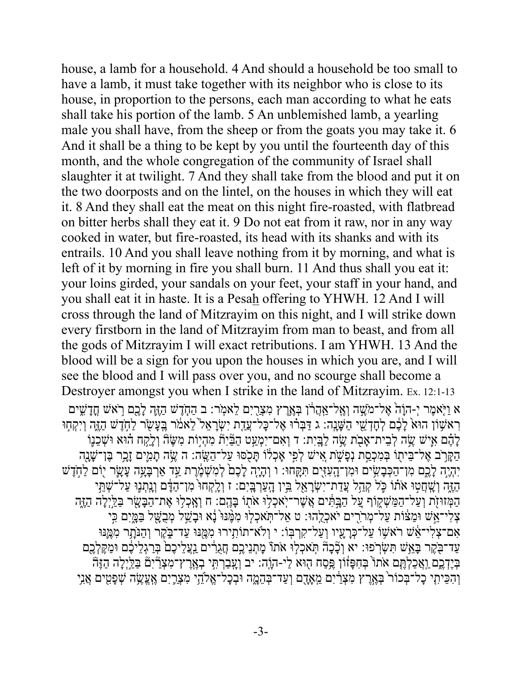house, a lamb for a household. 4 And should a household be too small to have a lamb, it must take together with its neighbor who is close to its house, in proportion to the persons, each man according to what he eats shall take his portion of the lamb. 5 An unblemished lamb, a yearling male you shall have, from the sheep or from the goats you may take it. 6 And it shall be a thing to be kept by you until the fourteenth day of this month, and the whole congregation of the community of Israel shall slaughter it at twilight. 7 And they shall take from the blood and put it on the two doorposts and on the lintel, on the houses in which they will eat it. 8 And they shall eat the meat on this night fire-roasted, with flatbread on bitter herbs shall they eat it. 9 Do not eat from it raw, nor in any way cooked in water, but fire-roasted, its head with its shanks and with its entrails. 10 And you shall leave nothing from it by morning, and what is left of it by morning in fire you shall burn. 11 And thus shall you eat it: your loins girded, your sandals on your feet, your staff in your hand, and you shall eat it in haste. It is a Pesah offering to YHWH. 12 And I will cross through the land of Mitzrayim on this night, and I will strike down every firstborn in the land of Mitzrayim from man to beast, and from all the gods of Mitzrayim I will exact retributions. I am YHWH. 13 And the blood will be a sign for you upon the houses in which you are, and I will see the blood and I will pass over you, and no scourge shall become a Destroyer amongst you when I strike in the land of Mitzrayim. Ex. 12:1-13 ֹא וַיִּאמֶר יִ-הוַ֫הֹ אֵל־מֹשֵׁה וְאֵל־אֲהַרֹוֹ בְּאֵרֵץ מִצָּרִיִם לֵאמְר: ב הַחָּדֵשׁ הַזֶּהָ לָכֵם רֹאשׁ חֲדַשִּׁים רָאשָׁוֹן הוּא לָבֶם לְחָדְשֵׁי הַשָּׁנָה: ג דַּבְרוּ אֶל־כָּלֹ־עֲדֶת יִשְׂרָאֵל לֵאמֹר בֵּעֲשֹׂר לַחִזָּשׁ הַזֶּה וְיִקְחוּ ָלְנֶ֫ם אִישׁ שֶׂה לְבֵית־אָבֹת שֶׂה לַבֵּיִת: ד וְאִם־יִמְעַט הַבּּׂיָתٛ מִהְיִוֹת מִשֶּׂהٓ וְלַקְח הוּא וּשְׁבֵנֶו הַקַּרֹב אֵל־בֵּיתוֹ בִּמְכְסֵת נִפַּשָׁת אֵישׁ לְפִי אַכְלֹוֹ תַּכְסוּ עַל־הָשֵׂה: ה ִשִׂה תַמִּיִם זַכְר בֵּן־שַׁנַה יִהְיֶה לָבֶם מִו־הַכְּבָשִׂים וּמִו־הָעִזֵּים תִּקֶּחוּ: ו וְהָיֶה לָבֶם ׁלְמִשְׁמֶרֶת עַד אַרְבָּעָה עָשָׂר יוֹם לַחְדֶשׁ ַהֶּזֶה וְשֶׁחֲטִוּ אֹתוֹ כָּל קְהַל עֲדַת־יִשְׂרָאֵל בִּין הָעַרְבָּיִם: ז וְלָקְחוּ מִן־הַדָּם וְנִתְנָוּ עַל־שָׁתֵּי הַמְּזוּזֶֹת וְעַל־הַמַּשְׁקֵוֹף עֲל הַבֵּתִּֽים אֲשֶׁר־יְאֹכְלְוּ אֹתָוֹ בָּהֶם: ח וְאָכְלוּ אֶת־הַבָּשָׂר בַלֵיְלָה הַזֶּה צְלִי־אֵשׁ וּמַצּׁוֹת עַל־מְרֹרִים יֹאכְלֵהוּ: ט אַל־תְּאכְלִוּ מִמֶּנּוּ ּנָא וּבָשֵׁל מְּבֻשָּׁל בַּמֲיִם כִּי אָם־צְלִי־אֵׂשׁ רֹאשׁוֹ עַל־כְּרָעָיו וְעַל־קִרְבְּוֹ: י וְלֹא־תוֹתִירוּ מִמֶּנּוּ עַד־בֶקֶר וְהַנִּתְר מִגְּמֵנּוּ ַעַד־בָּקֶר בָּאֲשׁ תִּשְׂרְפוּ: יא וְכָּבָהׂ תִּאלְלוּ אֹתוֹ מָתְנֵיכֶם חֲגֶרִים וַעֲלֵיכֶם ּבְּרַגְלֵיכֶם וּמַקֶּלְכֶם ּבְּיֶדְכֶם וַאֲכָלְתֵּם אֹתוֹ בִּחְפָּזוֹן ִפֵּסַח הִוּא לַי-הוֶֹה: יב וְעָבַרְתִּי בְאֲרֵץ־מְצָרְיָם בַּלֵּיְלָה הָזֶה וְהִכֵּיתִי כָל־בְּכוֹר בְּאֶרֶץ מִצְרַׂיִם מֵאָֽדֶם וְעַד־בְּהֵמֶה וּבְכָל־אֱלֹּהֵי מִצְרֵיִם אॢֽוֶשֶׂה שְׁפָטִים אֲנִי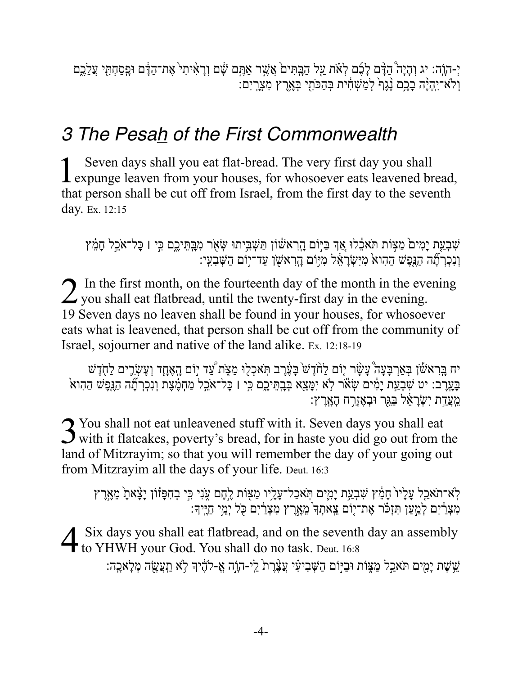יְ-הוֶה: יג וְהָיָה הַדָּם לָבֶׁם לְאֹת עַל הַבְּתִּים אֲשֶׁר אַתֲם שָׁם וְרָאִיתִי אֶת־הַדָּם וּפִסַחְתִּי עֲלֶכֶם ולא־יהיה בכם נגף למשחית בהכתי בארץ מצרים:

### 3 The Pesah of the First Commonwealth

Seven days shall you eat flat-bread. The very first day you shall **L** expunge leaven from your houses, for whosoever eats leavened bread, that person shall be cut off from Israel, from the first day to the seventh day. Ex. 12:15

שִׁבְעַת יָמִים מַצְּוֹת תֹּאלֵלוּ אֲךָ בַּיְוֹם הָרְאשׁוֹן תַּשְׁבִּיתוּ שְׂאָר מִבְתֵּיָכֶם כִּי ו כָּל־אֹכֵל חָמֵ֫ץ וְנִכְרְתָׁה הַגְּפֶשׁ הַהָוא מִיִּשְׂרָאֵל מִיּוֹם הָרְאשָׁן עַד־יוֹם הַשְּׁבְעִי:

2 In the first month, on the fourteenth day of the month in the evening<br>2 you shall eat flatbread, until the twenty-first day in the evening. 19 Seven days no leaven shall be found in your houses, for whosoever eats what is leavened, that person shall be cut off from the community of Israel, sojourner and native of the land alike. Ex. 12:18-19

יח בֶּרְאֹשׁוֹ בְּאַךְבָּעָה עָשָׂר יָוֹם לַחֹדָשׁ בָּעֶּ֫רָב תְּאֹכְלִוּ מַצִּׂת עַד יוֹם הָאָחָד וְעָשְׂרֵים לַחֻדָּשׁ<br>בָּעֲרֶב: יט שִׁבְעַת יָמִים שְׂאֹר לָא יִמָּאֵא בְּבְתֵּיכֶם כִּי ו כָּל־אֹכֵל מַחְמֶצֶת וְנִכְךְתָ מעדת ישראל בגר ובאזרח הארץ:

3 You shall not eat unleavened stuff with it. Seven days you shall eat<br>3 with it flatcakes, poverty's bread, for in haste you did go out from the land of Mitzrayim; so that you will remember the day of your going out from Mitzrayim all the days of your life. Deut. 16:3

לְא־תֹאַכַל עָלָיוֹ חָמֵ֫ץ שִׁבְעַת יָמִים תְּאֹכַל־עָלָיו מַצִּוֹת לָחֶם עָנִי כִּי בְחִפָּזֹוֹן יָצָּאתָ מֵאֶרֶץ<br>מִצְרַ֫יִם לְמַעַּן תִּזְכֹּר אֶת־יָוֹם צֵאתְדִּ מֵאֶרֶץ מִצְרַ֫יִם כָּל יְמֵי חַיֶּיךָ:

4 Six days you shall eat flatbread, and on the seventh day an assembly to YHWH your God. You shall do no task. Deut. 16:8

ֹשֵׁשֹׁת יָמִים תֹּאכַל מַצֶּוֹת וּבַיִּוֹם הַשִּׁבִיעִי עֲצֵׁרֵת יַי-הוָה אֵ-להָיִךְ לָא תַעֲשֶׂה מְלָאכָה: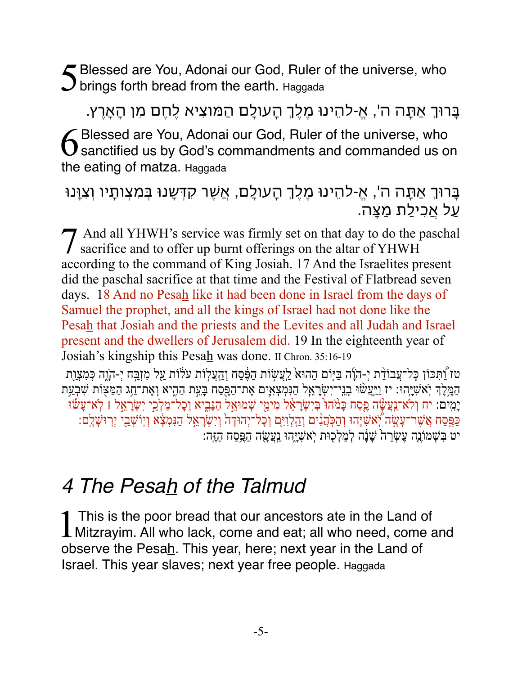5Blessed are You, Adonai our God, Ruler of the universe, who  $J$  brings forth bread from the earth. Haggada

בָרוְ אַתָה ה', א-ֱלהֵינו מֶלְֶ הָעולָם הַמוצִיא לֶחֶם מִן הָאָרץ. 6 Blessed are You, Adonai our God, Ruler of the universe, who<br>Sanctified us by God's commandments and commanded us on the eating of matza. Haggada

#### בָרוְ אַתָה ה', א-ֱלהֵינו מֶלְֶ הָעולָם, אֲשֶר קדְשָנו בְמִצְותָיו וְצִוָנו עַל אֲכִילַת מַצָה.

7 And all YHWH's service was firmly set on that day to do the paschal sacrifice and to offer up burnt offerings on the altar of YHWH according to the command of King Josiah. 17 And the Israelites present did the paschal sacrifice at that time and the Festival of Flatbread seven days. 18 And no Pesah like it had been done in Israel from the days of Samuel the prophet, and all the kings of Israel had not done like the Pesah that Josiah and the priests and the Levites and all Judah and Israel present and the dwellers of Jerusalem did. 19 In the eighteenth year of Josiah's kingship this Pesah was done. II Chron. 35:16-19

ְטז וַׁתִּכּוֹן כָּל־עֲבוֹדַ֫ת יִ-הוֵۢה בַּיִּוֹם הַהוּא לֵעֲשׂוֹת הַפֶּסַח וְהָעֲלוֹת עֹלוֹת עַל מִזְבֵּח יִ-הְוֵה כִּמְצָוֶת ַהַמֶּלֶךְ יְאֹשִׁיָּהוּ: יז וַיַּעֲשׁוּ בְנֵי־יִשְׂרָאֵל הַנִּמְצְאָים אֶת־הַפֵּסַח בָּעֵת הַהָיא וְאֶת־חַג הַמַּצִּוֹת שִׁבְעַת יָמִים: יח וְלֹא־ַנְַעֲשָׂה פֶסַח כָּמֹהוּ בְּיִשְׂרָאֵ֫ל מִימֵי שְׁמוּאֵל הַנָּבִיא וְכָל־מַלְבֵי יִשְׂרָאֵל ו לְא־עָשׁוּ ַכְּפֵּסַח אֲשֶׁר־עָשָׂה יְ֫אשִׁיָּהוּ וְהַכְּהֲנִים וְהַלְוִיִּם וְכָל־יְהוּדָה וְוִשְׂרָאֲל הַנִּמְצָׂא וְיִוּשְׁבֵי יִרְוּשָׁלֶם: יט בִּשְׁמוֹנֶה עֶשְׂרֵה שָׁנָּה לְמַלְכָוּת יְאֹשָׁיֶהוּ נַעֲשֶׂה הַפֶּסַח הַזֶּה:

### *4 The Pesah of the Talmud*

1 This is the poor bread that our ancestors ate in the Land of<br>Mitzrayim. All who lack, come and eat; all who need, come and observe the Pesah. This year, here; next year in the Land of Israel. This year slaves; next year free people. Haggada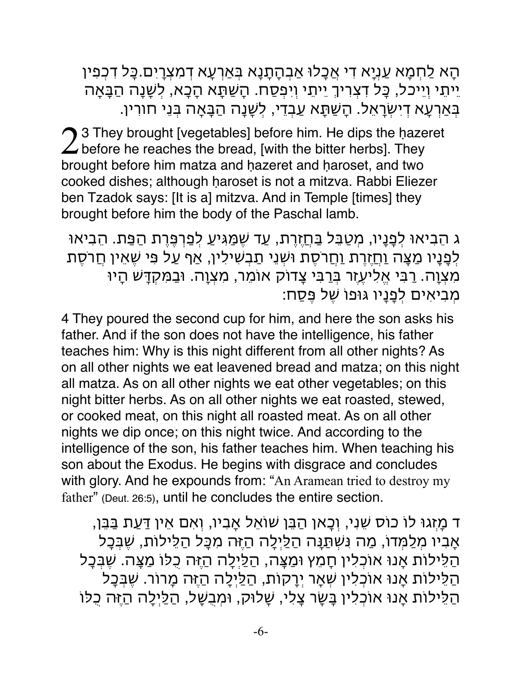הָא לַחְמָא עַנְיָא די אֲכָלו אַבְהָתָנָא בְאַרעָא דמִצְריִם.כָל דכְפִין יֵיתֵי וְיֵיכל, כָל דצְריְ יֵיתֵי וְיִפְסַח. הָשַתָא הָכָא, לְשָנָה הַבָאָה בְאַרעָא דיִשְראֵל. הָשַתָא עַבְדי, לְשָנָה הַבָאָה בְנֵי חורין.

23 They brought [vegetables] before him. He dips the hazeret before he reaches the bread, [with the bitter herbs]. They brought before him matza and hazeret and haroset, and two cooked dishes; although ḥaroset is not a mitzva. Rabbi Eliezer ben Tzadok says: [It is a] mitzva. And in Temple [times] they brought before him the body of the Paschal lamb.

ג הֵבִיאו לְפָנָיו, מְטַבֵל בַחֲזֶרת, עַד שֶמַגִיעַ לְפַרפֶרת הַפַת. הֵבִיאו לְפָנָיו מַצָּה <u>וַח</u>ַזֶרֶת <u>וַח</u>ֲרֹסֶת וּשְׁנֵי תַבְשִׁילִין, אַף עַל פִּי שֶׁאֵין חֲרֹסֶת מִצְוָה. רבִי אֱלִיעֶזֶר בְרבִי צָדוק אומֵר, מִצְוָה. ובַמִקדָש הָיו מְבִיאִים לְפָנָיו גופו שֶל פֶסַח:

4 They poured the second cup for him, and here the son asks his father. And if the son does not have the intelligence, his father teaches him: Why is this night different from all other nights? As on all other nights we eat leavened bread and matza; on this night all matza. As on all other nights we eat other vegetables; on this night bitter herbs. As on all other nights we eat roasted, stewed, or cooked meat, on this night all roasted meat. As on all other nights we dip once; on this night twice. And according to the intelligence of the son, his father teaches him. When teaching his son about the Exodus. He begins with disgrace and concludes with glory. And he expounds from: "An Aramean tried to destroy my father" (Deut. 26:5), until he concludes the entire section.

ד מָזְגו לו כוס שֵנִי, וְכָאן הַבֵן שואֵל אָבִיו, וְאִם אֵין דַעַת בַבֵן, אָבִיו מְלַמְדו, מַה נִשְתַנָה הַלַיְלָה הַזֶה מִכָל הַלֵילות, שֶבְכָל הַלֵילות אָנו אוכְלִין חָמֵץ ומַצָה, הַלַיְלָה הַזֶה כֻלו מַצָה. שֶבְכָל הַלֵילות אָנו אוכְלִין שְאָר יְרקות, הַלַיְלָה הַזֶה מָרור. שֶבְכָל הַלֵילות אָנו אוכְלִין בָשָר צָלִי, שָלוק, ומְבֻשָּל, הַלַיְלָה הַזֶה כֻלו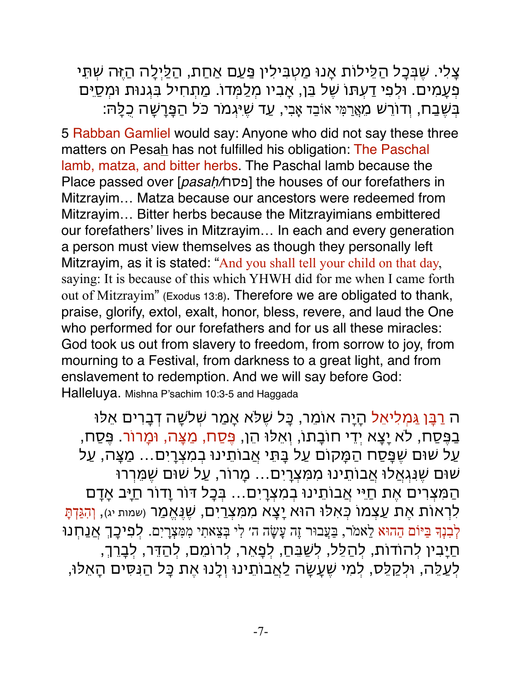צָלִי. שֶבְכָל הַלֵילות אָנו מַטְבִילִין פַעַם אַחַת, הַלַיְלָה הַזֶה שְתֵי פְעָמִים. ולְפִי דעְתו שֶל בֵן, אָבִיו מְלַמְדו. מַתְחִיל בִגְנות ומְסַיֵם ּבִשֶׁבַח, וְדוֹרֵשׁ מֵאֲרַמִּי אוֹבֵד אָבִי, עַד שֵיּגְמֹר כֹּל הַפָּרָשָׁה כָלַה:

5 Rabban Gamliel would say: Anyone who did not say these three matters on Pesah has not fulfilled his obligation: The Paschal lamb, matza, and bitter herbs. The Paschal lamb because the Place passed over [*pasaḥ/*תס] the houses of our forefathers in Mitzrayim… Matza because our ancestors were redeemed from Mitzrayim… Bitter herbs because the Mitzrayimians embittered our forefathers' lives in Mitzrayim… In each and every generation a person must view themselves as though they personally left Mitzrayim, as it is stated: "And you shall tell your child on that day, saying: It is because of this which YHWH did for me when I came forth out of Mitzrayim" (Exodus 13:8). Therefore we are obligated to thank, praise, glorify, extol, exalt, honor, bless, revere, and laud the One who performed for our forefathers and for us all these miracles: God took us out from slavery to freedom, from sorrow to joy, from mourning to a Festival, from darkness to a great light, and from enslavement to redemption. And we will say before God: Halleluya. Mishna P'sachim 10:3-5 and Haggada

ה רבָן גַמְלִיאֵל הָיָה אומֵר, כָל שֶלא אָמַר שְלשָה דבָרים אֵלו בַפֶסַח, לא יָצָא יְדי חובָתו, וְאֵלו הֵן, פֶסַח, מַצָה, ומָרור. פֶסַח, עַל שום שֶפָסַח הַמָקום עַל בָתֵי אֲבותֵינו בְמִצְריִם... מַצָה, עַל שום שֶנִגְאֲלו אֲבותֵינו מִמִצְריִם... מָרור, עַל שום שֶמֵררו הַמִצְרים אֶת חַיֵי אֲבותֵינו בְמִצְריִם... בְכָל דור וָדור חַיָב אָדם לִרְאוֹת אֶת עַצְמוֹ כְּאִלוּ הוּא יָצָא מִמִצְרַיִם, שֶׁנָאֱמַר (שמות יג), וְהָגַּדְתָּ לְבִנְךָ בַּיּוֹם הַהוּא לֵאמֹר, בַּעֲבוּר זֶה עָשָׂה ה׳ לִי בִּצֵאתִי מִמְּצְרָיִם. לִפִיכָּךָ אֲנַחְנוּ ּחַיָּבִין לִהוֹדוֹת, לִהַלֵּל, לִשַּׁבֵּחַ, לִפָּאֵר, לִרוֹמֵם, לִהַדֵּר, לִבָּרֵךְ, לְעַלֵה, ולְקלֵס, לְמִי שֶעָשָה לַאֲבותֵינו וְלָנו אֶת כָל הַנִסִים הָאֵלו,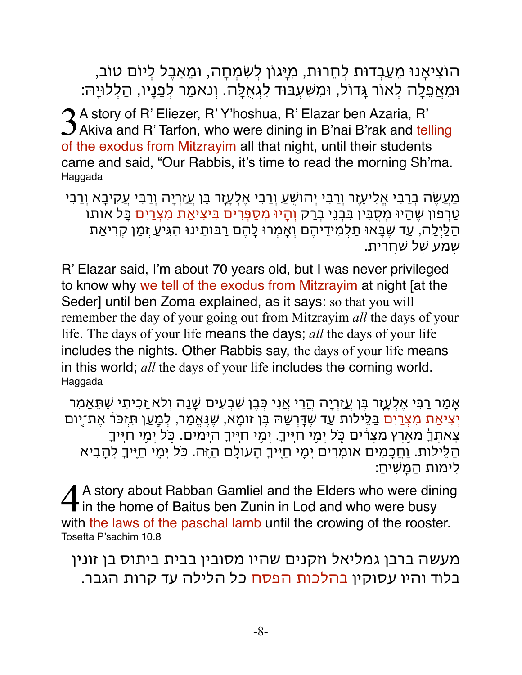הוצִיאָנו מֵעַבְדות לְחֵרות, מִיָגון לְשִמְחָה, ומֵאֵבֶל לְיום טוב, ומֵאֲפֵלָה לְאור גָדול, ומִשִעְבוד לִגְאֻלָה. וְנֹאמַר לְפָנָיו, הַלְלויָה:

3 A story of R' Eliezer, R' Y'hoshua, R' Elazar ben Azaria, R'<br>3 Akiva and R' Tarfon, who were dining in B'nai B'rak and telling of the exodus from Mitzrayim all that night, until their students came and said, "Our Rabbis, it's time to read the morning Sh'ma. Haggada

מַעֲשֶה בְרבִי אֱלִיעֶזֶר וְרבִי יְהושֻעַ וְרבִי אֶלְעָזָר בֶן עֲזַריָה וְרבִי עֲקיבָא וְרבִי טַרפון שֶהָיו מְסֻבִין בִבְנֵי בְרק וְהָיו מְסַפְרים בִיצִיאַת מִצְריִם כָל אותו הַלַיְלָה, עַד שֶבָאו תַלְמִידיהֶם וְאָמְרו לָהֶם רבותֵינו הִגִיעַ זְמַן קריאַת שְמַע שֶל שַחֲרית.

R' Elazar said, I'm about 70 years old, but I was never privileged to know why we tell of the exodus from Mitzrayim at night [at the Seder] until ben Zoma explained, as it says: so that you will remember the day of your going out from Mitzrayim *all* the days of your life. The days of your life means the days; *all* the days of your life includes the nights. Other Rabbis say, the days of your life means in this world; *all* the days of your life includes the coming world. Haggada

אָמַר רבִי אֶלְעָזָר בֶן עֲזַריָה הֲרי אֲנִי כְבֶן שִבְעִים שָנָה וְלא זָכִיתִי שֶתֵאָמֵר יִצִיאַת מִצְרַיִם בַּלֵּילות עַד שֶׁדַּרְשָׁהּ בֵּן זומָא, שֵׁנֵאֵמַר, לִמֲעַן תִּזְכֹּרֹ אֶת־יַוֹם צָאתִרָ מֵאֶרֵץ מִצְרַיִם כִּל יִמֶי חַיֵּיךָ. יְמֵי חַיֵּיךָ הַיָּמִים. כְּל יְמֵי חַיִּיךָ הַלֵילות. וַחֲכָמִים אומְרים יְמֵ֥י חַיֶֽיָ הָעולָם הַזֶה. כֹ֖ל יְמֵ֥י חַיֶֽיָ לְהָבִיא לִימות הַמָשִיח:ַ

A story about Rabban Gamliel and the Elders who were dining  $\overline{\mathbf{t}}$  in the home of Baitus ben Zunin in Lod and who were busy with the laws of the paschal lamb until the crowing of the rooster. Tosefta P'sachim 10.8

מעשה ברבן גמליאל וזקנים שהיו מסובין בבית ביתוס בן זונין בלוד והיו עסוקין בהלכות הפסח כל הלילה עד קרות הגבר.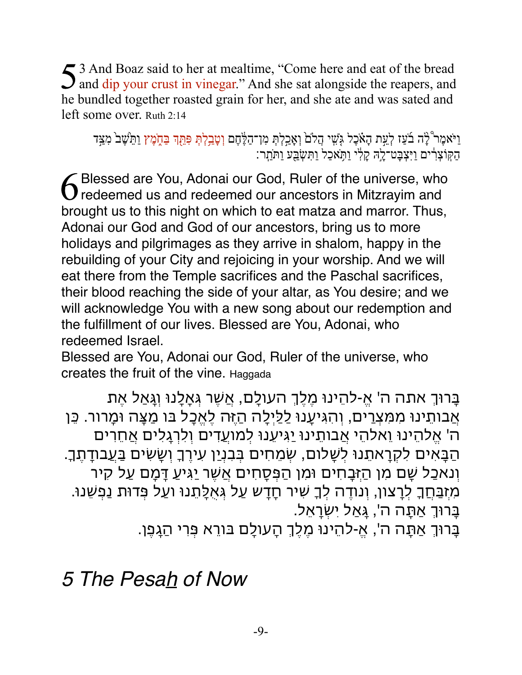53 And Boaz said to her at mealtime, "Come here and eat of the bread and dip your crust in vinegar." And she sat alongside the reapers, and he bundled together roasted grain for her, and she ate and was sated and left some over. Ruth 2:14

וַיֹּאמֶר צְׁיָה בֹעַז לְעֵת הָאֹכֶל גְּשִׁי הֲלֹם וְאָבַלְתְּ מִן־הַלֶּהֶם וְטָבַלְתְּ פִּתֵּךְ בַּתֶּמֶץ וַתֵּישֶׁב<sup>י</sup> מִצַּד ּהַקּוֹצְרִ֫ים וַיִּצְבָּט־לֶהּ קַלְי וַתְּאכַל וַתְּשָׂבַע וַתּוַתְר:

6 Blessed are You, Adonai our God, Ruler of the universe, who redeemed us and redeemed our ancestors in Mitzrayim and brought us to this night on which to eat matza and marror. Thus, Adonai our God and God of our ancestors, bring us to more holidays and pilgrimages as they arrive in shalom, happy in the rebuilding of your City and rejoicing in your worship. And we will eat there from the Temple sacrifices and the Paschal sacrifices, their blood reaching the side of your altar, as You desire; and we will acknowledge You with a new song about our redemption and the fulfillment of our lives. Blessed are You, Adonai, who redeemed Israel.

Blessed are You, Adonai our God, Ruler of the universe, who creates the fruit of the vine. Haggada

בָרוְ אתה ה' א-ֱלהֵינו מֶלְֶ העולָם, אֲשֶר גְאָלָנו וְגָאַל אֶת אֲבותֵינו מִמִצְרים, וְהִגִיעָנו לַלַיְלָה הַזֶה לֶאֱכָל בו מַצָה ומָרור. כֵן ה' אֱלהֵינו וֵאלהֵי אֲבותֵינו יַגִיעֵנו לְמועֲדים וְלִרגָלִים אֲחֵרים הַבָאִים לִקראתֵנו לְשָלום, שְמֵחִים בְבִנְיַן עִירָ וְשָשִים בַעֲבודת.ֶָ וְנאכַל שָם מִן הַזְבָחִים ומִן הַפְסָחִים אֲשֶר יַגִיעַ דָמָם עַל קיר מִזְבַחֲָ לְרצון, וְנודה לְָ שִיר חָדש עַל גְאֻלָתֵנו ועַל פְדות נַפְשֵנו. בָרוְ אַתָה ה', גָאַל יִשְראֵל. ָבְרוּךְ אַתֲה ה', אֵ-להֵינוּ מֶלֶךְ הַעולָם בּורֵא פְּרִי הַגַּפֶן.

*5 The Pesah of Now*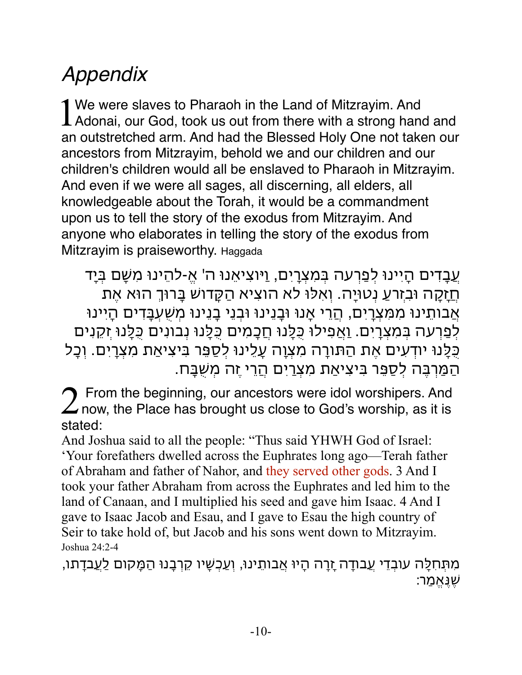## *Appendix*

1 We were slaves to Pharaoh in the Land of Mitzrayim. And<br>Adonai, our God, took us out from there with a strong hand and an outstretched arm. And had the Blessed Holy One not taken our ancestors from Mitzrayim, behold we and our children and our children's children would all be enslaved to Pharaoh in Mitzrayim. And even if we were all sages, all discerning, all elders, all knowledgeable about the Torah, it would be a commandment upon us to tell the story of the exodus from Mitzrayim. And anyone who elaborates in telling the story of the exodus from Mitzrayim is praiseworthy. Haggada

עֲבָדים הָיִינו לְפַרעה בְמִצְריִם, וַיוצִיאֵנו ה' א-ֱלהֵינו מִשָּם בְיָד חֲזָקה ובִזְרעַ נְטויָה. וְאִלו לא הוצִיא הַקָדוש בָרוְ הוא אֶת אֲבותֵינו מִמִצְריִם, הֲרי אָנו ובָנֵינו ובְנֵי בָנֵינו מְשֻעְבָדים הָיִינו לְפַרעה בְמִצְריִם. וַאֲפִילו כֻלָנו חֲכָמִים כֻלָנו נְבונִים כֻלָנו זְקנִים כֻלָנו יודעִים אֶת הַתורה מִצְוָה עָלֵינו לְסַפֵר בִיצִיאַת מִצְריִם. וְכָל הַמַרבֶה לְסַפֵר בִיצִיאַת מִצְריִם הֲרי זֶה מְשֻבָח.

 $2$  From the beginning, our ancestors were idol worshipers. And now, the Place has brought us close to God's worship, as it is stated:

And Joshua said to all the people: "Thus said YHWH God of Israel: 'Your forefathers dwelled across the Euphrates long ago—Terah father of Abraham and father of Nahor, and they served other gods. 3 And I took your father Abraham from across the Euphrates and led him to the land of Canaan, and I multiplied his seed and gave him Isaac. 4 And I gave to Isaac Jacob and Esau, and I gave to Esau the high country of Seir to take hold of, but Jacob and his sons went down to Mitzrayim. Joshua 24:2-4

מִתְחִלָה עובְדי עֲבודה זָרה הָיו אֲבותֵינו, וְעַכְשָיו קרבָנו הַמָקום לַעֲבדתו, שֶנֶאֱמַר: